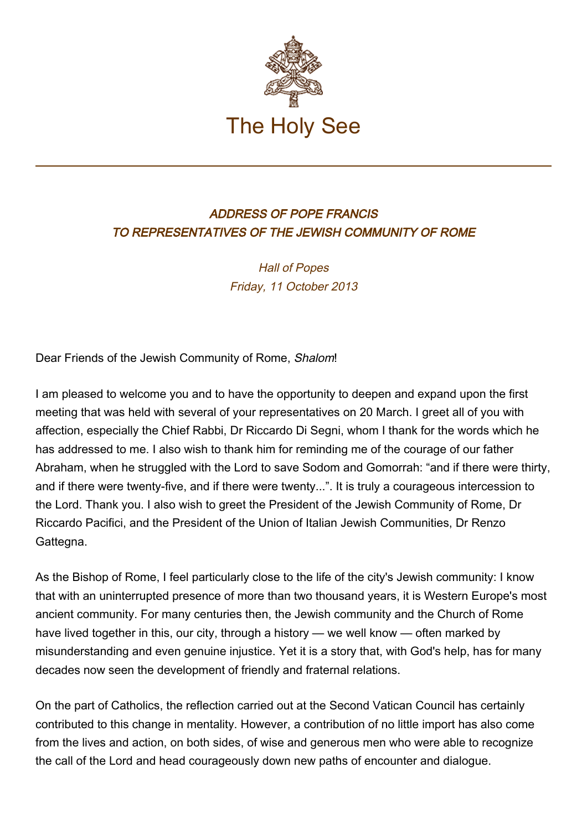

## ADDRESS OF POPE FRANCIS TO REPRESENTATIVES OF THE JEWISH COMMUNITY OF ROME

Hall of Popes Friday, 11 October 2013

Dear Friends of the Jewish Community of Rome, Shalom!

I am pleased to welcome you and to have the opportunity to deepen and expand upon the first meeting that was held with several of your representatives on 20 March. I greet all of you with affection, especially the Chief Rabbi, Dr Riccardo Di Segni, whom I thank for the words which he has addressed to me. I also wish to thank him for reminding me of the courage of our father Abraham, when he struggled with the Lord to save Sodom and Gomorrah: "and if there were thirty, and if there were twenty-five, and if there were twenty...". It is truly a courageous intercession to the Lord. Thank you. I also wish to greet the President of the Jewish Community of Rome, Dr Riccardo Pacifici, and the President of the Union of Italian Jewish Communities, Dr Renzo Gattegna.

As the Bishop of Rome, I feel particularly close to the life of the city's Jewish community: I know that with an uninterrupted presence of more than two thousand years, it is Western Europe's most ancient community. For many centuries then, the Jewish community and the Church of Rome have lived together in this, our city, through a history — we well know — often marked by misunderstanding and even genuine injustice. Yet it is a story that, with God's help, has for many decades now seen the development of friendly and fraternal relations.

On the part of Catholics, the reflection carried out at the Second Vatican Council has certainly contributed to this change in mentality. However, a contribution of no little import has also come from the lives and action, on both sides, of wise and generous men who were able to recognize the call of the Lord and head courageously down new paths of encounter and dialogue.